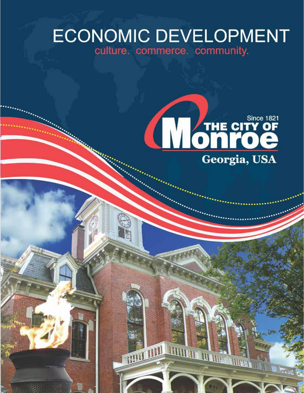# **ECONOMIC DEVELOPMENT** culture. commerce. community.



**MATHEMATHALL A** 

**B** me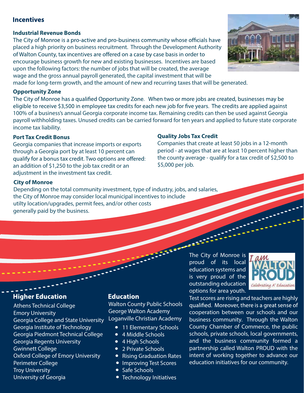# **Incentives**

### **Industrial Revenue Bonds**

The City of Monroe is a pro-active and pro-business community whose officials have placed a high priority on business recruitment. Through the Development Authority of Walton County, tax incentives are offered on a case by case basis in order to encourage business growth for new and existing businesses. Incentives are based upon the following factors: the number of jobs that will be created, the average wage and the gross annual payroll generated, the capital investment that will be made for long-term growth, and the amount of new and recurring taxes that will be generated.

#### **Opportunity Zone**

The City of Monroe has a qualified Opportunity Zone. When two or more jobs are created, businesses may be eligible to receive \$3,500 in employee tax credits for each new job for five years. The credits are applied against 100% of a business's annual Georgia corporate income tax. Remaining credits can then be used against Georgia payroll withholding taxes. Unused credits can be carried forward for ten years and applied to future state corporate income tax liability.

### **Port Tax Credit Bonus**

Georgia companies that increase imports or exports through a Georgia port by at least 10 percent can qualify for a bonus tax credit. Two options are offered: an addition of \$1,250 to the job tax credit or an adjustment in the investment tax credit.

### **Quality Jobs Tax Credit**

Companies that create at least 50 jobs in a 12-month period - at wages that are at least 10 percent higher than the county average - qualify for a tax credit of \$2,500 to \$5,000 per job.

### **City of Monroe**

Depending on the total community investment, type of industry, jobs, and salaries, the City of Monroe may consider local municipal incentives to include utilty location/upgrades, permit fees, and/or other costs generally paid by the business.

# **Higher Education**

Athens Technical College Emory University Georgia College and State University Georgia Institute of Technology Georgia Piedmont Technical College Georgia Regents University Gwinnett College Oxford College of Emory University Perimeter College Troy University University of Georgia

## **Education**

Walton County Public Schools George Walton Academy Loganville Christian Academy

23222

- 11 Elementary Schools
- 4 Middle Schools
- 4 High Schools
- 2 Private Schools
- Rising Graduation Rates
- Improving Test Scores
- Safe Schools
- Technology Initiatives

The City of Monroe is proud of its local education systems and is very proud of the outstanding education options for area youth.



Test scores are rising and teachers are highly qualified. Moreover, there is a great sense of cooperation between our schools and our business community. Through the Walton County Chamber of Commerce, the public schools, private schools, local governments, and the business community formed a partnership called Walton PROUD with the intent of working together to advance our education initiatives for our community.

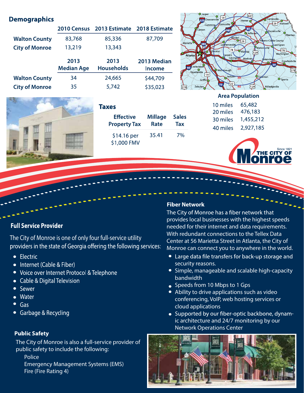# **Demographics**

|                       |                           | 2010 Census 2013 Estimate | 2018 Estimate                |
|-----------------------|---------------------------|---------------------------|------------------------------|
| <b>Walton County</b>  | 83,768                    | 85,336                    | 87,709                       |
| <b>City of Monroe</b> | 13,219                    | 13,343                    |                              |
|                       |                           |                           |                              |
|                       | 2013<br><b>Median Age</b> | 2013<br><b>Households</b> | 2013 Median<br><b>Income</b> |
| <b>Walton County</b>  | 34                        | 24,665                    | \$44,709                     |





# **Taxes**

| <b>Effective</b>           | <b>Millage</b> | <b>Sales</b> |
|----------------------------|----------------|--------------|
| <b>Property Tax</b>        | Rate           | Tax          |
| \$14.16 per<br>\$1,000 FMV | 35.41          | 7%           |

#### 10 miles 65,482

20 miles 476,183 30 miles 1,455,212 40 miles 2,927,185



# **Full Service Provider**

The City of Monroe is one of only four full-service utility providers in the state of Georgia offering the following services:

- Electric
- Internet (Cable & Fiber)
- Voice over Internet Protocol & Telephone
- Cable & Digital Television
- Sewer
- $\bullet$  Water
- $\bullet$  Gas
- Garbage & Recycling

### **Public Safety**

The City of Monroe is also a full-service provider of public safety to include the following:

Police

Emergency Management Systems (EMS) Fire (Fire Rating 4)

### **Fiber Network**

The City of Monroe has a fiber network that provides local businesses with the highest speeds needed for their internet and data requirements. With redundant connections to the Tellex Data Center at 56 Marietta Street in Atlanta, the City of Monroe can connect you to anywhere in the world.

- Large data file transfers for back-up storage and security reasons.
- Simple, manageable and scalable high-capacity bandwidth
- Speeds from 10 Mbps to 1 Gps
- Ability to drive applications such as video conferencing, VoIP, web hosting services or cloud applications
- Supported by our fiber-optic backbone, dynamic architecture and 24/7 monitoring by our Network Operations Center